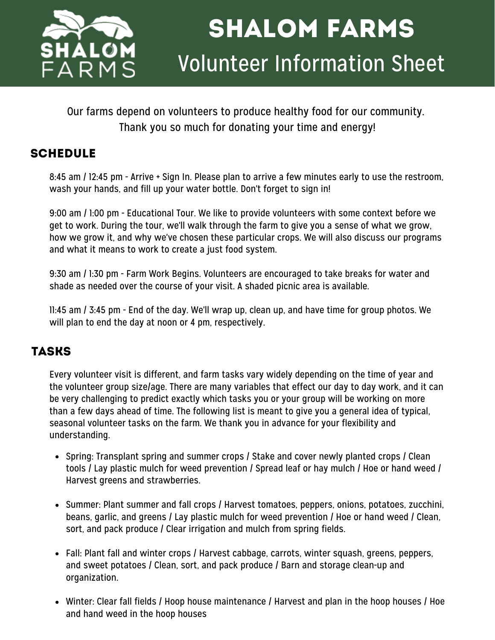

# shalom farms Volunteer Information Sheet

Our farms depend on volunteers to produce healthy food for our community. Thank you so much for donating your time and energy!

# **SCHEDULE**

8:45 am / 12:45 pm - Arrive + Sign In. Please plan to arrive a few minutes early to use the restroom, wash your hands, and fill up your water bottle. Don't forget to sign in!

9:00 am / 1:00 pm - Educational Tour. We like to provide volunteers with some context before we get to work. During the tour, we'll walk through the farm to give you a sense of what we grow, how we grow it, and why we've chosen these particular crops. We will also discuss our programs and what it means to work to create a just food system.

9:30 am / 1:30 pm - Farm Work Begins. Volunteers are encouraged to take breaks for water and shade as needed over the course of your visit. A shaded picnic area is available.

11:45 am / 3:45 pm - End of the day. We'll wrap up, clean up, and have time for group photos. We will plan to end the day at noon or 4 pm, respectively.

# tasks

Every volunteer visit is different, and farm tasks vary widely depending on the time of year and the volunteer group size/age. There are many variables that effect our day to day work, and it can be very challenging to predict exactly which tasks you or your group will be working on more than a few days ahead of time. The following list is meant to give you a general idea of typical, seasonal volunteer tasks on the farm. We thank you in advance for your flexibility and understanding.

- Spring: Transplant spring and summer crops / Stake and cover newly planted crops / Clean tools / Lay plastic mulch for weed prevention / Spread leaf or hay mulch / Hoe or hand weed / Harvest greens and strawberries.
- Summer: Plant summer and fall crops / Harvest tomatoes, peppers, onions, potatoes, zucchini, beans, garlic, and greens / Lay plastic mulch for weed prevention / Hoe or hand weed / Clean, sort, and pack produce / Clear irrigation and mulch from spring fields.
- Fall: Plant fall and winter crops / Harvest cabbage, carrots, winter squash, greens, peppers, and sweet potatoes / Clean, sort, and pack produce / Barn and storage clean-up and organization.
- Winter: Clear fall fields / Hoop house maintenance / Harvest and plan in the hoop houses / Hoe and hand weed in the hoop houses